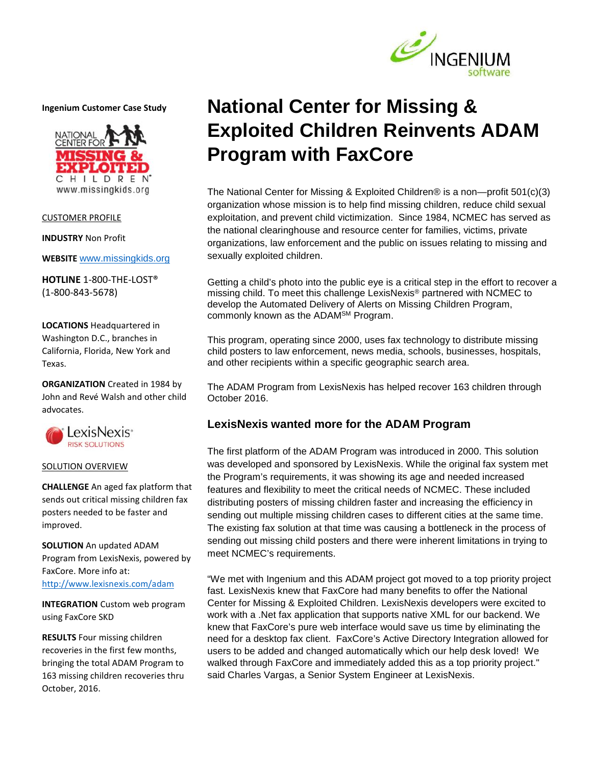

**Ingenium Customer Case Study**



CUSTOMER PROFILE

**INDUSTRY** Non Profit

**WEBSITE** www.missingkids.org

**HOTLINE** 1-800-THE-LOST® (1-800-843-5678)

**LOCATIONS** Headquartered in Washington D.C., branches in California, Florida, New York and Texas.

**ORGANIZATION** Created in 1984 by John and Revé Walsh and other child advocates.



## SOLUTION OVERVIEW

**CHALLENGE** An aged fax platform that sends out critical missing children fax posters needed to be faster and improved.

**SOLUTION** An updated ADAM Program from LexisNexis, powered by FaxCore. More info at: http://www.lexisnexis.com/adam

**INTEGRATION** Custom web program using FaxCore SKD

**RESULTS** Four missing children recoveries in the first few months, bringing the total ADAM Program to 163 missing children recoveries thru October, 2016.

# **National Center for Missing & Exploited Children Reinvents ADAM Program with FaxCore**

The National Center for Missing & Exploited Children® is a non—profit 501(c)(3) organization whose mission is to help find missing children, reduce child sexual exploitation, and prevent child victimization. Since 1984, NCMEC has served as the national clearinghouse and resource center for families, victims, private organizations, law enforcement and the public on issues relating to missing and sexually exploited children.

Getting a child's photo into the public eye is a critical step in the effort to recover a missing child. To meet this challenge LexisNexis® partnered with NCMEC to develop the Automated Delivery of Alerts on Missing Children Program, commonly known as the ADAMSM Program.

This program, operating since 2000, uses fax technology to distribute missing child posters to law enforcement, news media, schools, businesses, hospitals, and other recipients within a specific geographic search area.

The ADAM Program from LexisNexis has helped recover 163 children through October 2016.

## **LexisNexis wanted more for the ADAM Program**

The first platform of the ADAM Program was introduced in 2000. This solution was developed and sponsored by LexisNexis. While the original fax system met the Program's requirements, it was showing its age and needed increased features and flexibility to meet the critical needs of NCMEC. These included distributing posters of missing children faster and increasing the efficiency in sending out multiple missing children cases to different cities at the same time. The existing fax solution at that time was causing a bottleneck in the process of sending out missing child posters and there were inherent limitations in trying to meet NCMEC's requirements.

"We met with Ingenium and this ADAM project got moved to a top priority project fast. LexisNexis knew that FaxCore had many benefits to offer the National Center for Missing & Exploited Children. LexisNexis developers were excited to work with a .Net fax application that supports native XML for our backend. We knew that FaxCore's pure web interface would save us time by eliminating the need for a desktop fax client. FaxCore's Active Directory Integration allowed for users to be added and changed automatically which our help desk loved! We walked through FaxCore and immediately added this as a top priority project." said Charles Vargas, a Senior System Engineer at LexisNexis.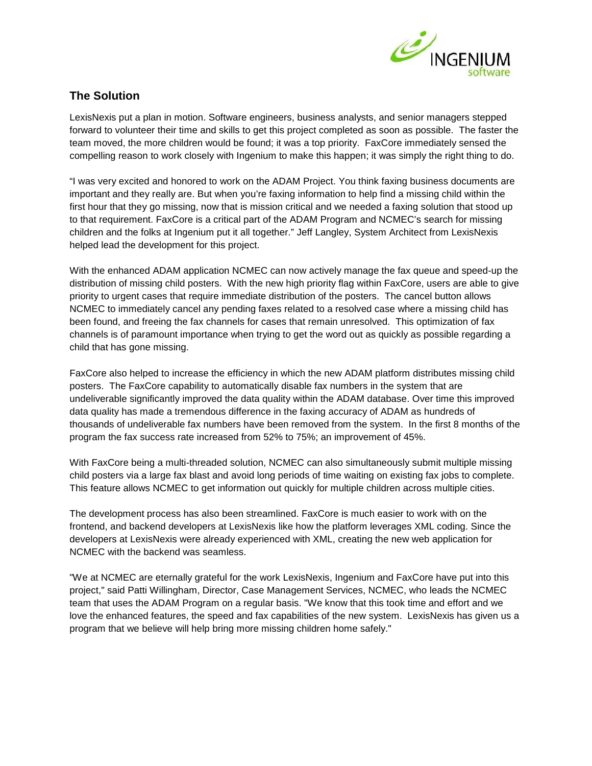

## **The Solution**

LexisNexis put a plan in motion. Software engineers, business analysts, and senior managers stepped forward to volunteer their time and skills to get this project completed as soon as possible. The faster the team moved, the more children would be found; it was a top priority. FaxCore immediately sensed the compelling reason to work closely with Ingenium to make this happen; it was simply the right thing to do.

"I was very excited and honored to work on the ADAM Project. You think faxing business documents are important and they really are. But when you're faxing information to help find a missing child within the first hour that they go missing, now that is mission critical and we needed a faxing solution that stood up to that requirement. FaxCore is a critical part of the ADAM Program and NCMEC's search for missing children and the folks at Ingenium put it all together." Jeff Langley, System Architect from LexisNexis helped lead the development for this project.

With the enhanced ADAM application NCMEC can now actively manage the fax queue and speed-up the distribution of missing child posters. With the new high priority flag within FaxCore, users are able to give priority to urgent cases that require immediate distribution of the posters. The cancel button allows NCMEC to immediately cancel any pending faxes related to a resolved case where a missing child has been found, and freeing the fax channels for cases that remain unresolved. This optimization of fax channels is of paramount importance when trying to get the word out as quickly as possible regarding a child that has gone missing.

FaxCore also helped to increase the efficiency in which the new ADAM platform distributes missing child posters. The FaxCore capability to automatically disable fax numbers in the system that are undeliverable significantly improved the data quality within the ADAM database. Over time this improved data quality has made a tremendous difference in the faxing accuracy of ADAM as hundreds of thousands of undeliverable fax numbers have been removed from the system. In the first 8 months of the program the fax success rate increased from 52% to 75%; an improvement of 45%.

With FaxCore being a multi-threaded solution, NCMEC can also simultaneously submit multiple missing child posters via a large fax blast and avoid long periods of time waiting on existing fax jobs to complete. This feature allows NCMEC to get information out quickly for multiple children across multiple cities.

The development process has also been streamlined. FaxCore is much easier to work with on the frontend, and backend developers at LexisNexis like how the platform leverages XML coding. Since the developers at LexisNexis were already experienced with XML, creating the new web application for NCMEC with the backend was seamless.

"We at NCMEC are eternally grateful for the work LexisNexis, Ingenium and FaxCore have put into this project," said Patti Willingham, Director, Case Management Services, NCMEC, who leads the NCMEC team that uses the ADAM Program on a regular basis. "We know that this took time and effort and we love the enhanced features, the speed and fax capabilities of the new system. LexisNexis has given us a program that we believe will help bring more missing children home safely."